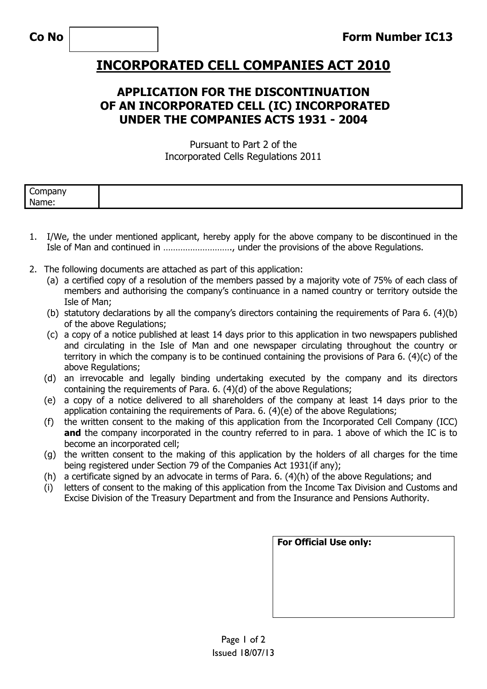## **INCORPORATED CELL COMPANIES ACT 2010**

## **APPLICATION FOR THE DISCONTINUATION OF AN INCORPORATED CELL (IC) INCORPORATED UNDER THE COMPANIES ACTS 1931 - 2004**

Pursuant to Part 2 of the Incorporated Cells Regulations 2011

| ∽<br>------<br>עו וראנ<br>_ |  |
|-----------------------------|--|
| Name:                       |  |

- 1. I/We, the under mentioned applicant, hereby apply for the above company to be discontinued in the Isle of Man and continued in ………………………., under the provisions of the above Regulations.
- 2. The following documents are attached as part of this application:
	- (a) a certified copy of a resolution of the members passed by a majority vote of 75% of each class of members and authorising the company's continuance in a named country or territory outside the Isle of Man;
	- (b) statutory declarations by all the company's directors containing the requirements of Para 6. (4)(b) of the above Regulations;
	- (c) a copy of a notice published at least 14 days prior to this application in two newspapers published and circulating in the Isle of Man and one newspaper circulating throughout the country or territory in which the company is to be continued containing the provisions of Para 6. (4)(c) of the above Regulations;
	- (d) an irrevocable and legally binding undertaking executed by the company and its directors containing the requirements of Para. 6. (4)(d) of the above Regulations;
	- (e) a copy of a notice delivered to all shareholders of the company at least 14 days prior to the application containing the requirements of Para. 6. (4)(e) of the above Regulations;
	- (f) the written consent to the making of this application from the Incorporated Cell Company (ICC) and the company incorporated in the country referred to in para. 1 above of which the IC is to become an incorporated cell;
	- (g) the written consent to the making of this application by the holders of all charges for the time being registered under Section 79 of the Companies Act 1931(if any);
	- (h) a certificate signed by an advocate in terms of Para. 6. (4)(h) of the above Regulations; and
	- (i) letters of consent to the making of this application from the Income Tax Division and Customs and Excise Division of the Treasury Department and from the Insurance and Pensions Authority.

| For Official Use only: |  |  |  |  |
|------------------------|--|--|--|--|
|                        |  |  |  |  |
|                        |  |  |  |  |
|                        |  |  |  |  |
|                        |  |  |  |  |